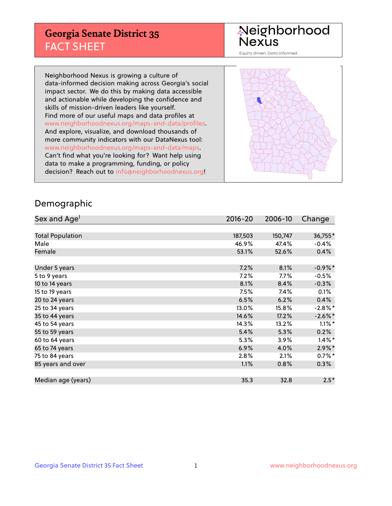## **Georgia Senate District 35** FACT SHEET

# Neighborhood<br>Nexus

Equity driven. Data informed.

Neighborhood Nexus is growing a culture of data-informed decision making across Georgia's social impact sector. We do this by making data accessible and actionable while developing the confidence and skills of mission-driven leaders like yourself. Find more of our useful maps and data profiles at www.neighborhoodnexus.org/maps-and-data/profiles. And explore, visualize, and download thousands of more community indicators with our DataNexus tool: www.neighborhoodnexus.org/maps-and-data/maps. Can't find what you're looking for? Want help using data to make a programming, funding, or policy decision? Reach out to [info@neighborhoodnexus.org!](mailto:info@neighborhoodnexus.org)



### Demographic

| Sex and Age <sup>1</sup> | $2016 - 20$ | 2006-10 | Change     |
|--------------------------|-------------|---------|------------|
|                          |             |         |            |
| <b>Total Population</b>  | 187,503     | 150,747 | 36,755*    |
| Male                     | 46.9%       | 47.4%   | $-0.4%$    |
| Female                   | 53.1%       | 52.6%   | 0.4%       |
|                          |             |         |            |
| Under 5 years            | 7.2%        | 8.1%    | $-0.9%$ *  |
| 5 to 9 years             | 7.2%        | $7.7\%$ | $-0.5%$    |
| 10 to 14 years           | 8.1%        | 8.4%    | $-0.3%$    |
| 15 to 19 years           | 7.5%        | 7.4%    | 0.1%       |
| 20 to 24 years           | 6.5%        | 6.2%    | 0.4%       |
| 25 to 34 years           | 13.0%       | 15.8%   | $-2.8\%$ * |
| 35 to 44 years           | 14.6%       | 17.2%   | $-2.6\%$ * |
| 45 to 54 years           | 14.3%       | 13.2%   | $1.1\%$ *  |
| 55 to 59 years           | 5.4%        | 5.3%    | 0.2%       |
| 60 to 64 years           | 5.3%        | 3.9%    | $1.4\%$ *  |
| 65 to 74 years           | 6.9%        | 4.0%    | $2.9\%$ *  |
| 75 to 84 years           | 2.8%        | 2.1%    | $0.7\%$ *  |
| 85 years and over        | 1.1%        | 0.8%    | 0.3%       |
|                          |             |         |            |
| Median age (years)       | 35.3        | 32.8    | $2.5*$     |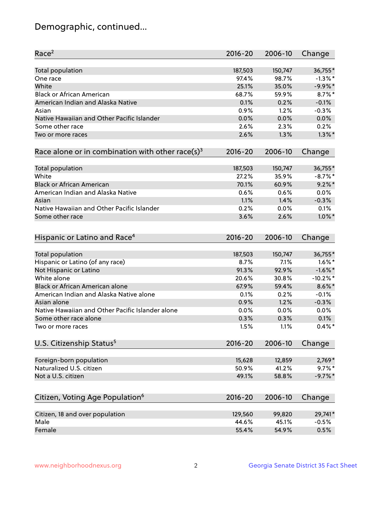## Demographic, continued...

| Race <sup>2</sup>                                            | $2016 - 20$  | 2006-10      | Change            |
|--------------------------------------------------------------|--------------|--------------|-------------------|
| <b>Total population</b>                                      | 187,503      | 150,747      | 36,755*           |
| One race                                                     | 97.4%        | 98.7%        | $-1.3\%$ *        |
| White                                                        | 25.1%        | 35.0%        | $-9.9\%$ *        |
| <b>Black or African American</b>                             | 68.7%        | 59.9%        | $8.7\%$ *         |
| American Indian and Alaska Native                            | 0.1%         | 0.2%         | $-0.1%$           |
| Asian                                                        | 0.9%         | 1.2%         | $-0.3%$           |
| Native Hawaiian and Other Pacific Islander                   | 0.0%         | 0.0%         | 0.0%              |
| Some other race                                              | 2.6%         | 2.3%         | 0.2%              |
| Two or more races                                            | 2.6%         | 1.3%         | $1.3\%$ *         |
| Race alone or in combination with other race(s) <sup>3</sup> | $2016 - 20$  | 2006-10      | Change            |
|                                                              |              |              |                   |
| Total population                                             | 187,503      | 150,747      | 36,755*           |
| White                                                        | 27.2%        | 35.9%        | $-8.7%$ *         |
| <b>Black or African American</b>                             | 70.1%        | 60.9%        | $9.2\%$ *         |
| American Indian and Alaska Native                            | 0.6%         | 0.6%         | 0.0%              |
| Asian                                                        | 1.1%         | 1.4%         | $-0.3%$           |
| Native Hawaiian and Other Pacific Islander                   | 0.2%         | 0.0%         | 0.1%              |
| Some other race                                              | 3.6%         | 2.6%         | $1.0\%$ *         |
| Hispanic or Latino and Race <sup>4</sup>                     | $2016 - 20$  | 2006-10      | Change            |
| <b>Total population</b>                                      | 187,503      | 150,747      | 36,755*           |
| Hispanic or Latino (of any race)                             | 8.7%         | 7.1%         | $1.6\%$ *         |
| Not Hispanic or Latino                                       | 91.3%        | 92.9%        | $-1.6\%$ *        |
| White alone                                                  | 20.6%        | 30.8%        | $-10.2%$ *        |
| Black or African American alone                              | 67.9%        | 59.4%        | $8.6\%$ *         |
| American Indian and Alaska Native alone                      | 0.1%         | 0.2%         | $-0.1%$           |
| Asian alone                                                  | 0.9%         | 1.2%         | $-0.3%$           |
| Native Hawaiian and Other Pacific Islander alone             |              |              | 0.0%              |
|                                                              | 0.0%         | 0.0%         |                   |
| Some other race alone<br>Two or more races                   | 0.3%<br>1.5% | 0.3%<br>1.1% | 0.1%<br>$0.4\%$ * |
|                                                              |              |              |                   |
| U.S. Citizenship Status <sup>5</sup>                         | $2016 - 20$  | 2006-10      | Change            |
| Foreign-born population                                      | 15,628       | 12,859       | 2,769*            |
| Naturalized U.S. citizen                                     | 50.9%        | 41.2%        | $9.7\%$ *         |
| Not a U.S. citizen                                           | 49.1%        | 58.8%        | $-9.7%$ *         |
|                                                              |              |              |                   |
| Citizen, Voting Age Population <sup>6</sup>                  | 2016-20      | 2006-10      | Change            |
| Citizen, 18 and over population                              | 129,560      | 99,820       | 29,741*           |
| Male                                                         | 44.6%        | 45.1%        | $-0.5%$           |
| Female                                                       | 55.4%        | 54.9%        | 0.5%              |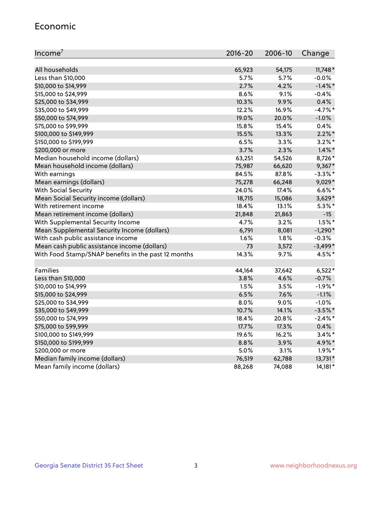#### Economic

| Income <sup>7</sup>                                 | $2016 - 20$ | 2006-10 | Change     |
|-----------------------------------------------------|-------------|---------|------------|
|                                                     |             |         |            |
| All households                                      | 65,923      | 54,175  | $11,748*$  |
| Less than \$10,000                                  | $5.7\%$     | 5.7%    | $-0.0\%$   |
| \$10,000 to \$14,999                                | 2.7%        | 4.2%    | $-1.4\%$ * |
| \$15,000 to \$24,999                                | 8.6%        | 9.1%    | $-0.4%$    |
| \$25,000 to \$34,999                                | 10.3%       | 9.9%    | 0.4%       |
| \$35,000 to \$49,999                                | 12.2%       | 16.9%   | $-4.7%$ *  |
| \$50,000 to \$74,999                                | 19.0%       | 20.0%   | $-1.0%$    |
| \$75,000 to \$99,999                                | 15.8%       | 15.4%   | 0.4%       |
| \$100,000 to \$149,999                              | 15.5%       | 13.3%   | $2.2\%$ *  |
| \$150,000 to \$199,999                              | 6.5%        | 3.3%    | $3.2\%$ *  |
| \$200,000 or more                                   | 3.7%        | 2.3%    | $1.4\%$ *  |
| Median household income (dollars)                   | 63,251      | 54,526  | 8,726*     |
| Mean household income (dollars)                     | 75,987      | 66,620  | $9,367*$   |
| With earnings                                       | 84.5%       | 87.8%   | $-3.3\%$ * |
| Mean earnings (dollars)                             | 75,278      | 66,248  | 9,029*     |
| <b>With Social Security</b>                         | 24.0%       | 17.4%   | $6.6\%$ *  |
| Mean Social Security income (dollars)               | 18,715      | 15,086  | $3,629*$   |
| With retirement income                              | 18.4%       | 13.1%   | $5.3\%$ *  |
| Mean retirement income (dollars)                    | 21,848      | 21,863  | $-15$      |
| With Supplemental Security Income                   | 4.7%        | 3.2%    | $1.5\%$ *  |
| Mean Supplemental Security Income (dollars)         | 6,791       | 8,081   | $-1,290*$  |
| With cash public assistance income                  | 1.6%        | 1.8%    | $-0.3%$    |
| Mean cash public assistance income (dollars)        | 73          | 3,572   | $-3,499*$  |
| With Food Stamp/SNAP benefits in the past 12 months | 14.3%       | 9.7%    | 4.5%*      |
|                                                     |             |         |            |
| Families                                            | 44,164      | 37,642  | $6,522*$   |
| Less than \$10,000                                  | 3.8%        | 4.6%    | $-0.7%$    |
| \$10,000 to \$14,999                                | 1.5%        | 3.5%    | $-1.9%$ *  |
| \$15,000 to \$24,999                                | 6.5%        | 7.6%    | $-1.1%$    |
| \$25,000 to \$34,999                                | 8.0%        | 9.0%    | $-1.0%$    |
| \$35,000 to \$49,999                                | 10.7%       | 14.1%   | $-3.5\%$ * |
| \$50,000 to \$74,999                                | 18.4%       | 20.8%   | $-2.4\%$ * |
| \$75,000 to \$99,999                                | 17.7%       | 17.3%   | 0.4%       |
| \$100,000 to \$149,999                              | 19.6%       | 16.2%   | $3.4\%$ *  |
| \$150,000 to \$199,999                              | 8.8%        | 3.9%    | 4.9%*      |
| \$200,000 or more                                   | 5.0%        | 3.1%    | $1.9\%$ *  |
| Median family income (dollars)                      | 76,519      | 62,788  | 13,731*    |
| Mean family income (dollars)                        | 88,268      | 74,088  | 14,181*    |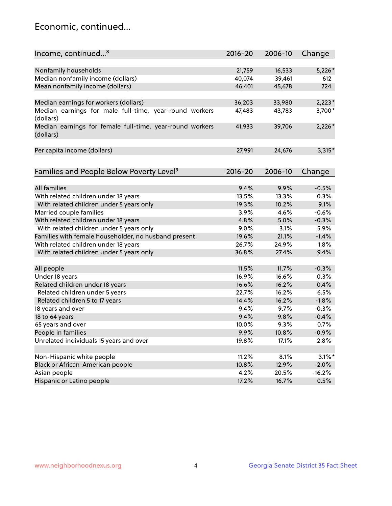## Economic, continued...

| Income, continued <sup>8</sup>                                        | $2016 - 20$ | 2006-10 | Change    |
|-----------------------------------------------------------------------|-------------|---------|-----------|
|                                                                       |             |         |           |
| Nonfamily households                                                  | 21,759      | 16,533  | $5,226*$  |
| Median nonfamily income (dollars)                                     | 40,074      | 39,461  | 612       |
| Mean nonfamily income (dollars)                                       | 46,401      | 45,678  | 724       |
| Median earnings for workers (dollars)                                 | 36,203      | 33,980  | $2,223*$  |
| Median earnings for male full-time, year-round workers                | 47,483      | 43,783  | 3,700*    |
| (dollars)                                                             |             |         |           |
| Median earnings for female full-time, year-round workers<br>(dollars) | 41,933      | 39,706  | $2,226*$  |
| Per capita income (dollars)                                           | 27,991      | 24,676  | $3,315*$  |
|                                                                       |             |         |           |
| Families and People Below Poverty Level <sup>9</sup>                  | 2016-20     | 2006-10 | Change    |
|                                                                       |             |         |           |
| <b>All families</b>                                                   | 9.4%        | 9.9%    | $-0.5%$   |
| With related children under 18 years                                  | 13.5%       | 13.3%   | 0.3%      |
| With related children under 5 years only                              | 19.3%       | 10.2%   | 9.1%      |
| Married couple families                                               | 3.9%        | 4.6%    | $-0.6%$   |
| With related children under 18 years                                  | 4.8%        | 5.0%    | $-0.3%$   |
| With related children under 5 years only                              | 9.0%        | 3.1%    | 5.9%      |
| Families with female householder, no husband present                  | 19.6%       | 21.1%   | $-1.4%$   |
| With related children under 18 years                                  | 26.7%       | 24.9%   | 1.8%      |
| With related children under 5 years only                              | 36.8%       | 27.4%   | 9.4%      |
| All people                                                            | 11.5%       | 11.7%   | $-0.3%$   |
| Under 18 years                                                        | 16.9%       | 16.6%   | 0.3%      |
| Related children under 18 years                                       | 16.6%       | 16.2%   | 0.4%      |
| Related children under 5 years                                        | 22.7%       | 16.2%   | 6.5%      |
| Related children 5 to 17 years                                        | 14.4%       | 16.2%   | $-1.8%$   |
| 18 years and over                                                     | 9.4%        | 9.7%    | $-0.3%$   |
|                                                                       | 9.4%        |         |           |
| 18 to 64 years                                                        |             | 9.8%    | $-0.4%$   |
| 65 years and over                                                     | 10.0%       | 9.3%    | 0.7%      |
| People in families                                                    | 9.9%        | 10.8%   | $-0.9%$   |
| Unrelated individuals 15 years and over                               | 19.8%       | 17.1%   | 2.8%      |
|                                                                       |             |         |           |
| Non-Hispanic white people                                             | 11.2%       | 8.1%    | $3.1\%$ * |
| Black or African-American people                                      | 10.8%       | 12.9%   | $-2.0%$   |
| Asian people                                                          | 4.2%        | 20.5%   | $-16.2%$  |
| Hispanic or Latino people                                             | 17.2%       | 16.7%   | 0.5%      |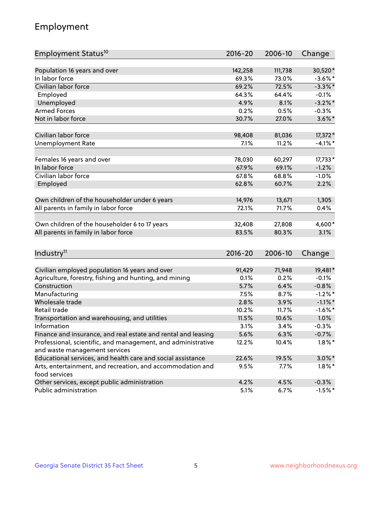## Employment

| Employment Status <sup>10</sup>                                                               | $2016 - 20$ | 2006-10 | Change     |
|-----------------------------------------------------------------------------------------------|-------------|---------|------------|
|                                                                                               |             |         |            |
| Population 16 years and over                                                                  | 142,258     | 111,738 | 30,520*    |
| In labor force                                                                                | 69.3%       | 73.0%   | $-3.6\%$ * |
| Civilian labor force                                                                          | 69.2%       | 72.5%   | $-3.3\%$ * |
| Employed                                                                                      | 64.3%       | 64.4%   | $-0.1%$    |
| Unemployed                                                                                    | 4.9%        | 8.1%    | $-3.2\%$ * |
| <b>Armed Forces</b>                                                                           | 0.2%        | 0.5%    | $-0.3%$    |
| Not in labor force                                                                            | 30.7%       | 27.0%   | $3.6\%$ *  |
| Civilian labor force                                                                          | 98,408      | 81,036  | 17,372*    |
| <b>Unemployment Rate</b>                                                                      | 7.1%        | 11.2%   | $-4.1%$ *  |
|                                                                                               |             |         |            |
| Females 16 years and over                                                                     | 78,030      | 60,297  | 17,733*    |
| In labor force                                                                                | 67.9%       | 69.1%   | $-1.2%$    |
| Civilian labor force                                                                          | 67.8%       | 68.8%   | $-1.0%$    |
| Employed                                                                                      | 62.8%       | 60.7%   | 2.2%       |
| Own children of the householder under 6 years                                                 | 14,976      | 13,671  | 1,305      |
| All parents in family in labor force                                                          | 72.1%       | 71.7%   | 0.4%       |
|                                                                                               |             |         |            |
| Own children of the householder 6 to 17 years                                                 | 32,408      | 27,808  | 4,600*     |
| All parents in family in labor force                                                          | 83.5%       | 80.3%   | 3.1%       |
|                                                                                               |             |         |            |
| Industry <sup>11</sup>                                                                        | $2016 - 20$ | 2006-10 | Change     |
| Civilian employed population 16 years and over                                                | 91,429      | 71,948  | 19,481*    |
| Agriculture, forestry, fishing and hunting, and mining                                        | 0.1%        | 0.2%    | $-0.1%$    |
| Construction                                                                                  | 5.7%        | 6.4%    | $-0.8%$    |
| Manufacturing                                                                                 | 7.5%        | 8.7%    | $-1.2%$ *  |
| Wholesale trade                                                                               | 2.8%        | 3.9%    | $-1.1\%$ * |
| Retail trade                                                                                  | 10.2%       | 11.7%   | $-1.6\%$ * |
| Transportation and warehousing, and utilities                                                 | 11.5%       | 10.6%   | 1.0%       |
| Information                                                                                   | 3.1%        | 3.4%    | $-0.3%$    |
| Finance and insurance, and real estate and rental and leasing                                 | 5.6%        | 6.3%    | $-0.7%$    |
|                                                                                               |             |         | $1.8\%$ *  |
| Professional, scientific, and management, and administrative<br>and waste management services | 12.2%       | 10.4%   |            |
| Educational services, and health care and social assistance                                   | 22.6%       | 19.5%   | $3.0\%$ *  |
| Arts, entertainment, and recreation, and accommodation and                                    | 9.5%        | 7.7%    | $1.8\%$ *  |
| food services                                                                                 |             |         |            |
| Other services, except public administration                                                  | 4.2%        | 4.5%    | $-0.3%$    |
| Public administration                                                                         | 5.1%        | 6.7%    | $-1.5%$ *  |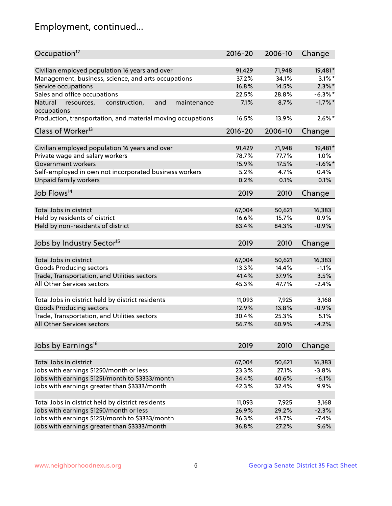## Employment, continued...

| Occupation <sup>12</sup>                                                    | $2016 - 20$ | 2006-10 | Change     |
|-----------------------------------------------------------------------------|-------------|---------|------------|
| Civilian employed population 16 years and over                              | 91,429      | 71,948  | 19,481*    |
| Management, business, science, and arts occupations                         | 37.2%       | 34.1%   | $3.1\%$ *  |
| Service occupations                                                         | 16.8%       | 14.5%   | $2.3\%$ *  |
| Sales and office occupations                                                | 22.5%       | 28.8%   | $-6.3\%$ * |
|                                                                             | 7.1%        |         | $-1.7%$ *  |
| Natural<br>and<br>resources,<br>construction,<br>maintenance<br>occupations |             | 8.7%    |            |
| Production, transportation, and material moving occupations                 | 16.5%       | 13.9%   | $2.6\%$ *  |
| Class of Worker <sup>13</sup>                                               | $2016 - 20$ | 2006-10 | Change     |
| Civilian employed population 16 years and over                              | 91,429      | 71,948  | 19,481*    |
| Private wage and salary workers                                             | 78.7%       | 77.7%   | 1.0%       |
| Government workers                                                          | 15.9%       | 17.5%   | $-1.6\%$ * |
|                                                                             |             |         |            |
| Self-employed in own not incorporated business workers                      | 5.2%        | 4.7%    | 0.4%       |
| Unpaid family workers                                                       | 0.2%        | 0.1%    | 0.1%       |
| Job Flows <sup>14</sup>                                                     | 2019        | 2010    | Change     |
|                                                                             |             |         |            |
| Total Jobs in district                                                      | 67,004      | 50,621  | 16,383     |
| Held by residents of district                                               | 16.6%       | 15.7%   | 0.9%       |
| Held by non-residents of district                                           | 83.4%       | 84.3%   | $-0.9%$    |
| Jobs by Industry Sector <sup>15</sup>                                       | 2019        | 2010    | Change     |
| Total Jobs in district                                                      |             |         |            |
|                                                                             | 67,004      | 50,621  | 16,383     |
| Goods Producing sectors                                                     | 13.3%       | 14.4%   | $-1.1%$    |
| Trade, Transportation, and Utilities sectors                                | 41.4%       | 37.9%   | 3.5%       |
| All Other Services sectors                                                  | 45.3%       | 47.7%   | $-2.4%$    |
| Total Jobs in district held by district residents                           | 11,093      | 7,925   | 3,168      |
| <b>Goods Producing sectors</b>                                              | 12.9%       | 13.8%   | $-0.9%$    |
| Trade, Transportation, and Utilities sectors                                | 30.4%       | 25.3%   | 5.1%       |
| All Other Services sectors                                                  | 56.7%       | 60.9%   | $-4.2%$    |
|                                                                             |             |         |            |
| Jobs by Earnings <sup>16</sup>                                              | 2019        | 2010    | Change     |
| Total Jobs in district                                                      |             |         |            |
|                                                                             | 67,004      | 50,621  | 16,383     |
| Jobs with earnings \$1250/month or less                                     | 23.3%       | 27.1%   | $-3.8%$    |
| Jobs with earnings \$1251/month to \$3333/month                             | 34.4%       | 40.6%   | $-6.1%$    |
| Jobs with earnings greater than \$3333/month                                | 42.3%       | 32.4%   | 9.9%       |
| Total Jobs in district held by district residents                           | 11,093      | 7,925   | 3,168      |
| Jobs with earnings \$1250/month or less                                     | 26.9%       | 29.2%   | $-2.3%$    |
| Jobs with earnings \$1251/month to \$3333/month                             | 36.3%       | 43.7%   | $-7.4%$    |
| Jobs with earnings greater than \$3333/month                                | 36.8%       | 27.2%   | 9.6%       |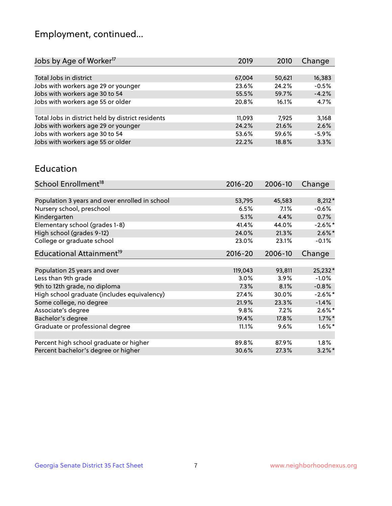## Employment, continued...

| Change  |
|---------|
|         |
| 16,383  |
| $-0.5%$ |
| $-4.2%$ |
| 4.7%    |
|         |
| 3,168   |
| 2.6%    |
| $-5.9%$ |
| 3.3%    |
|         |

#### Education

| School Enrollment <sup>18</sup>                | 2016-20     | 2006-10 | Change     |
|------------------------------------------------|-------------|---------|------------|
|                                                |             |         |            |
| Population 3 years and over enrolled in school | 53,795      | 45,583  | $8,212*$   |
| Nursery school, preschool                      | 6.5%        | 7.1%    | $-0.6%$    |
| Kindergarten                                   | 5.1%        | 4.4%    | $0.7\%$    |
| Elementary school (grades 1-8)                 | 41.4%       | 44.0%   | $-2.6\%$ * |
| High school (grades 9-12)                      | 24.0%       | 21.3%   | $2.6\%$ *  |
| College or graduate school                     | 23.0%       | 23.1%   | $-0.1%$    |
| Educational Attainment <sup>19</sup>           | $2016 - 20$ | 2006-10 | Change     |
|                                                |             |         |            |
| Population 25 years and over                   | 119,043     | 93,811  | 25,232*    |
| Less than 9th grade                            | 3.0%        | 3.9%    | $-1.0%$    |
| 9th to 12th grade, no diploma                  | 7.3%        | 8.1%    | $-0.8%$    |
| High school graduate (includes equivalency)    | 27.4%       | 30.0%   | $-2.6\%$ * |
| Some college, no degree                        | 21.9%       | 23.3%   | $-1.4%$    |
| Associate's degree                             | 9.8%        | 7.2%    | $2.6\%$ *  |
| Bachelor's degree                              | 19.4%       | 17.8%   | $1.7\%$ *  |
| Graduate or professional degree                | 11.1%       | 9.6%    | $1.6\%$ *  |
|                                                |             |         |            |
| Percent high school graduate or higher         | 89.8%       | 87.9%   | $1.8\%$    |
| Percent bachelor's degree or higher            | 30.6%       | 27.3%   | $3.2\%$ *  |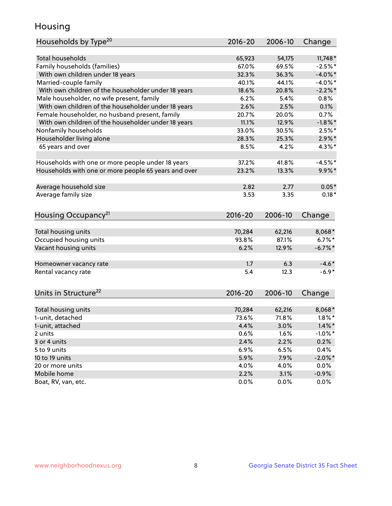## Housing

| Households by Type <sup>20</sup>                     | 2016-20      | 2006-10 | Change                  |
|------------------------------------------------------|--------------|---------|-------------------------|
|                                                      |              |         |                         |
| <b>Total households</b>                              | 65,923       | 54,175  | $11,748*$               |
| Family households (families)                         | 67.0%        | 69.5%   | $-2.5%$ *               |
| With own children under 18 years                     | 32.3%        | 36.3%   | $-4.0\%$ *              |
| Married-couple family                                | 40.1%        | 44.1%   | $-4.0\%$ *              |
| With own children of the householder under 18 years  | 18.6%        | 20.8%   | $-2.2\%$ *              |
| Male householder, no wife present, family            | 6.2%         | 5.4%    | 0.8%                    |
| With own children of the householder under 18 years  | 2.6%         | 2.5%    | 0.1%                    |
| Female householder, no husband present, family       | 20.7%        | 20.0%   | 0.7%                    |
| With own children of the householder under 18 years  | 11.1%        | 12.9%   | $-1.8\%$ *              |
| Nonfamily households                                 | 33.0%        | 30.5%   | $2.5%$ *                |
| Householder living alone                             | 28.3%        | 25.3%   | $2.9\%$ *               |
| 65 years and over                                    | 8.5%         | 4.2%    | 4.3%*                   |
|                                                      |              |         |                         |
| Households with one or more people under 18 years    | 37.2%        | 41.8%   | $-4.5%$ *               |
| Households with one or more people 65 years and over | 23.2%        | 13.3%   | $9.9\%$ *               |
| Average household size                               | 2.82         | 2.77    | $0.05*$                 |
| Average family size                                  | 3.53         | 3.35    | $0.18*$                 |
|                                                      |              |         |                         |
| Housing Occupancy <sup>21</sup>                      | $2016 - 20$  | 2006-10 | Change                  |
| Total housing units                                  | 70,284       | 62,216  |                         |
| Occupied housing units                               | 93.8%        | 87.1%   | 8,068*<br>$6.7\%$ *     |
| Vacant housing units                                 | 6.2%         | 12.9%   | $-6.7\%$ *              |
|                                                      |              |         |                         |
| Homeowner vacancy rate                               | 1.7          | 6.3     | $-4.6*$                 |
| Rental vacancy rate                                  | 5.4          | 12.3    | $-6.9*$                 |
|                                                      |              |         |                         |
| Units in Structure <sup>22</sup>                     | $2016 - 20$  | 2006-10 | Change                  |
| Total housing units                                  | 70,284       | 62,216  | 8,068*                  |
| 1-unit, detached                                     | 73.6%        | 71.8%   | $1.8\%$ *               |
|                                                      |              | 3.0%    |                         |
| 1-unit, attached<br>2 units                          | 4.4%<br>0.6% | 1.6%    | $1.4\%$ *<br>$-1.0\%$ * |
| 3 or 4 units                                         | 2.4%         | 2.2%    |                         |
| 5 to 9 units                                         |              |         | 0.2%<br>0.4%            |
|                                                      | 6.9%         | 6.5%    |                         |
| 10 to 19 units                                       | 5.9%         | 7.9%    | $-2.0\%$ *              |
| 20 or more units                                     | 4.0%         | 4.0%    | $0.0\%$                 |
| Mobile home                                          | 2.2%         | 3.1%    | $-0.9\%$                |
| Boat, RV, van, etc.                                  | 0.0%         | 0.0%    | $0.0\%$                 |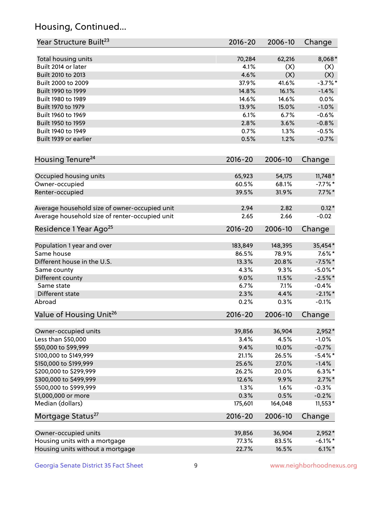## Housing, Continued...

| Year Structure Built <sup>23</sup>             | 2016-20     | 2006-10 | Change     |
|------------------------------------------------|-------------|---------|------------|
| Total housing units                            | 70,284      | 62,216  | 8,068*     |
| Built 2014 or later                            | 4.1%        | (X)     | (X)        |
| Built 2010 to 2013                             | 4.6%        | (X)     | (X)        |
| Built 2000 to 2009                             | 37.9%       | 41.6%   | $-3.7\%$ * |
| Built 1990 to 1999                             | 14.8%       | 16.1%   | $-1.4%$    |
| Built 1980 to 1989                             | 14.6%       | 14.6%   | 0.0%       |
| Built 1970 to 1979                             | 13.9%       | 15.0%   | $-1.0%$    |
| Built 1960 to 1969                             | 6.1%        | 6.7%    | $-0.6%$    |
| Built 1950 to 1959                             | 2.8%        | 3.6%    | $-0.8%$    |
| Built 1940 to 1949                             | 0.7%        | 1.3%    | $-0.5%$    |
| Built 1939 or earlier                          | 0.5%        | 1.2%    | $-0.7%$    |
| Housing Tenure <sup>24</sup>                   | $2016 - 20$ | 2006-10 | Change     |
| Occupied housing units                         | 65,923      | 54,175  | $11,748*$  |
| Owner-occupied                                 | 60.5%       | 68.1%   | $-7.7\%$ * |
| Renter-occupied                                | 39.5%       | 31.9%   | $7.7\%$ *  |
| Average household size of owner-occupied unit  | 2.94        | 2.82    | $0.12*$    |
| Average household size of renter-occupied unit | 2.65        | 2.66    | $-0.02$    |
| Residence 1 Year Ago <sup>25</sup>             | $2016 - 20$ | 2006-10 | Change     |
| Population 1 year and over                     | 183,849     | 148,395 | 35,454*    |
| Same house                                     | 86.5%       | 78.9%   | $7.6\%$ *  |
| Different house in the U.S.                    | 13.3%       | 20.8%   | $-7.5%$ *  |
| Same county                                    | 4.3%        | 9.3%    | $-5.0\%$ * |
| Different county                               | 9.0%        | 11.5%   | $-2.5%$ *  |
| Same state                                     | 6.7%        | 7.1%    | $-0.4%$    |
| Different state                                | 2.3%        | 4.4%    | $-2.1\%$ * |
| Abroad                                         | 0.2%        | 0.3%    | $-0.1%$    |
| Value of Housing Unit <sup>26</sup>            | $2016 - 20$ | 2006-10 | Change     |
| Owner-occupied units                           | 39,856      | 36,904  | 2,952*     |
| Less than \$50,000                             | 3.4%        | 4.5%    | $-1.0%$    |
| \$50,000 to \$99,999                           | 9.4%        | 10.0%   | $-0.7%$    |
| \$100,000 to \$149,999                         | 21.1%       | 26.5%   | $-5.4\%$ * |
| \$150,000 to \$199,999                         | 25.6%       | 27.0%   | $-1.4%$    |
| \$200,000 to \$299,999                         | 26.2%       | 20.0%   | $6.3\%$ *  |
| \$300,000 to \$499,999                         | 12.6%       | 9.9%    | $2.7\%$ *  |
| \$500,000 to \$999,999                         | 1.3%        | 1.6%    | $-0.3%$    |
| \$1,000,000 or more                            | 0.3%        | 0.5%    | $-0.2%$    |
| Median (dollars)                               | 175,601     | 164,048 | $11,553*$  |
| Mortgage Status <sup>27</sup>                  | $2016 - 20$ | 2006-10 | Change     |
| Owner-occupied units                           | 39,856      | 36,904  | $2,952*$   |
| Housing units with a mortgage                  | 77.3%       | 83.5%   | $-6.1\%$ * |
| Housing units without a mortgage               | 22.7%       | 16.5%   | $6.1\%$ *  |
|                                                |             |         |            |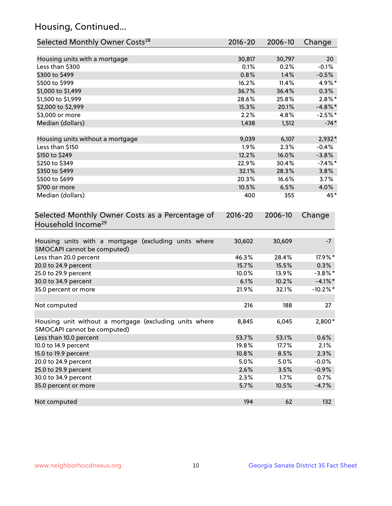## Housing, Continued...

| Selected Monthly Owner Costs <sup>28</sup>                                            | 2016-20 | 2006-10 | Change      |
|---------------------------------------------------------------------------------------|---------|---------|-------------|
| Housing units with a mortgage                                                         | 30,817  | 30,797  | 20          |
| Less than \$300                                                                       | 0.1%    | 0.2%    | $-0.1%$     |
| \$300 to \$499                                                                        | 0.8%    | 1.4%    | $-0.5%$     |
| \$500 to \$999                                                                        | 16.2%   | 11.4%   | 4.9%*       |
| \$1,000 to \$1,499                                                                    | 36.7%   | 36.4%   | 0.3%        |
| \$1,500 to \$1,999                                                                    | 28.6%   | 25.8%   | $2.8\%$ *   |
| \$2,000 to \$2,999                                                                    | 15.3%   | 20.1%   | $-4.8\%$ *  |
| \$3,000 or more                                                                       | 2.2%    | 4.8%    | $-2.5%$ *   |
| Median (dollars)                                                                      | 1,438   | 1,512   | $-74*$      |
| Housing units without a mortgage                                                      | 9,039   | 6,107   | 2,932*      |
| Less than \$150                                                                       | 1.9%    | 2.3%    | $-0.4%$     |
| \$150 to \$249                                                                        | 12.2%   | 16.0%   | $-3.8%$     |
| \$250 to \$349                                                                        | 22.9%   | 30.4%   | $-7.4\%$ *  |
| \$350 to \$499                                                                        | 32.1%   | 28.3%   | 3.8%        |
| \$500 to \$699                                                                        | 20.3%   | 16.6%   | 3.7%        |
| \$700 or more                                                                         | 10.5%   | 6.5%    | 4.0%        |
| Median (dollars)                                                                      | 400     | 355     | 45*         |
| Household Income <sup>29</sup>                                                        |         |         |             |
| Housing units with a mortgage (excluding units where<br>SMOCAPI cannot be computed)   | 30,602  | 30,609  | $-7$        |
| Less than 20.0 percent                                                                | 46.3%   | 28.4%   | 17.9%*      |
| 20.0 to 24.9 percent                                                                  | 15.7%   | 15.5%   | 0.3%        |
| 25.0 to 29.9 percent                                                                  | 10.0%   | 13.9%   | $-3.8\%$ *  |
| 30.0 to 34.9 percent                                                                  | 6.1%    | 10.2%   | $-4.1\%$ *  |
| 35.0 percent or more                                                                  | 21.9%   | 32.1%   | $-10.2\%$ * |
| Not computed                                                                          | 216     | 188     | 27          |
| Housing unit without a mortgage (excluding units where<br>SMOCAPI cannot be computed) | 8,845   | 6,045   | 2,800*      |
| Less than 10.0 percent                                                                | 53.7%   | 53.1%   | 0.6%        |
| 10.0 to 14.9 percent                                                                  | 19.8%   | 17.7%   | 2.1%        |
| 15.0 to 19.9 percent                                                                  | 10.8%   | 8.5%    | 2.3%        |
| 20.0 to 24.9 percent                                                                  | 5.0%    | 5.0%    | $-0.0%$     |
| 25.0 to 29.9 percent                                                                  | 2.6%    | 3.5%    | $-0.9%$     |
| 30.0 to 34.9 percent                                                                  | 2.3%    | 1.7%    | 0.7%        |
| 35.0 percent or more                                                                  | 5.7%    | 10.5%   | $-4.7%$     |
| Not computed                                                                          | 194     | 62      | 132         |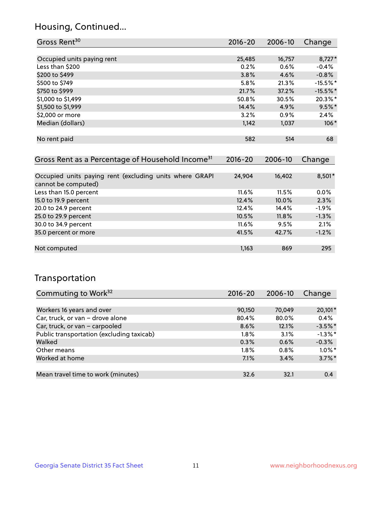## Housing, Continued...

| Gross Rent <sup>30</sup>   | $2016 - 20$ | 2006-10 | Change     |
|----------------------------|-------------|---------|------------|
|                            |             |         |            |
| Occupied units paying rent | 25,485      | 16,757  | $8,727*$   |
| Less than \$200            | 0.2%        | 0.6%    | $-0.4%$    |
| \$200 to \$499             | 3.8%        | 4.6%    | $-0.8%$    |
| \$500 to \$749             | 5.8%        | 21.3%   | $-15.5%$ * |
| \$750 to \$999             | 21.7%       | 37.2%   | $-15.5%$ * |
| \$1,000 to \$1,499         | 50.8%       | 30.5%   | 20.3%*     |
| \$1,500 to \$1,999         | 14.4%       | 4.9%    | $9.5%$ *   |
| \$2,000 or more            | 3.2%        | 0.9%    | 2.4%       |
| Median (dollars)           | 1,142       | 1,037   | $106*$     |
|                            |             |         |            |
| No rent paid               | 582         | 514     | 68         |

| Gross Rent as a Percentage of Household Income <sup>31</sup>                   | $2016 - 20$ | 2006-10 | Change  |
|--------------------------------------------------------------------------------|-------------|---------|---------|
|                                                                                |             |         |         |
| Occupied units paying rent (excluding units where GRAPI<br>cannot be computed) | 24,904      | 16,402  | 8,501*  |
| Less than 15.0 percent                                                         | $11.6\%$    | 11.5%   | $0.0\%$ |
| 15.0 to 19.9 percent                                                           | 12.4%       | 10.0%   | 2.3%    |
| 20.0 to 24.9 percent                                                           | 12.4%       | 14.4%   | $-1.9%$ |
| 25.0 to 29.9 percent                                                           | 10.5%       | 11.8%   | $-1.3%$ |
| 30.0 to 34.9 percent                                                           | $11.6\%$    | 9.5%    | 2.1%    |
| 35.0 percent or more                                                           | 41.5%       | 42.7%   | $-1.2%$ |
|                                                                                |             |         |         |
| Not computed                                                                   | 1,163       | 869     | 295     |

## Transportation

| Commuting to Work <sup>32</sup>           | 2016-20 | 2006-10 | Change     |
|-------------------------------------------|---------|---------|------------|
|                                           |         |         |            |
| Workers 16 years and over                 | 90,150  | 70,049  | 20,101*    |
| Car, truck, or van - drove alone          | 80.4%   | 80.0%   | 0.4%       |
| Car, truck, or van - carpooled            | 8.6%    | 12.1%   | $-3.5%$ *  |
| Public transportation (excluding taxicab) | $1.8\%$ | 3.1%    | $-1.3\%$ * |
| Walked                                    | 0.3%    | 0.6%    | $-0.3%$    |
| Other means                               | $1.8\%$ | $0.8\%$ | $1.0\%$ *  |
| Worked at home                            | 7.1%    | 3.4%    | $3.7\%$ *  |
|                                           |         |         |            |
| Mean travel time to work (minutes)        | 32.6    | 32.1    | 0.4        |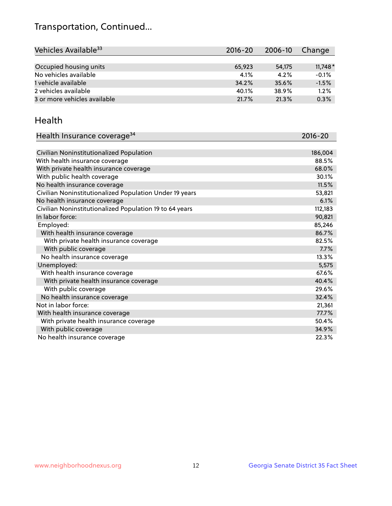## Transportation, Continued...

| Vehicles Available <sup>33</sup> | 2016-20 | 2006-10 | Change    |
|----------------------------------|---------|---------|-----------|
|                                  |         |         |           |
| Occupied housing units           | 65,923  | 54,175  | $11,748*$ |
| No vehicles available            | 4.1%    | 4.2%    | $-0.1%$   |
| 1 vehicle available              | 34.2%   | 35.6%   | $-1.5%$   |
| 2 vehicles available             | 40.1%   | 38.9%   | 1.2%      |
| 3 or more vehicles available     | 21.7%   | 21.3%   | 0.3%      |

#### Health

| Health Insurance coverage <sup>34</sup>                 | 2016-20 |
|---------------------------------------------------------|---------|
|                                                         |         |
| Civilian Noninstitutionalized Population                | 186,004 |
| With health insurance coverage                          | 88.5%   |
| With private health insurance coverage                  | 68.0%   |
| With public health coverage                             | 30.1%   |
| No health insurance coverage                            | 11.5%   |
| Civilian Noninstitutionalized Population Under 19 years | 53,821  |
| No health insurance coverage                            | 6.1%    |
| Civilian Noninstitutionalized Population 19 to 64 years | 112,183 |
| In labor force:                                         | 90,821  |
| Employed:                                               | 85,246  |
| With health insurance coverage                          | 86.7%   |
| With private health insurance coverage                  | 82.5%   |
| With public coverage                                    | 7.7%    |
| No health insurance coverage                            | 13.3%   |
| Unemployed:                                             | 5,575   |
| With health insurance coverage                          | 67.6%   |
| With private health insurance coverage                  | 40.4%   |
| With public coverage                                    | 29.6%   |
| No health insurance coverage                            | 32.4%   |
| Not in labor force:                                     | 21,361  |
| With health insurance coverage                          | 77.7%   |
| With private health insurance coverage                  | 50.4%   |
| With public coverage                                    | 34.9%   |
| No health insurance coverage                            | 22.3%   |